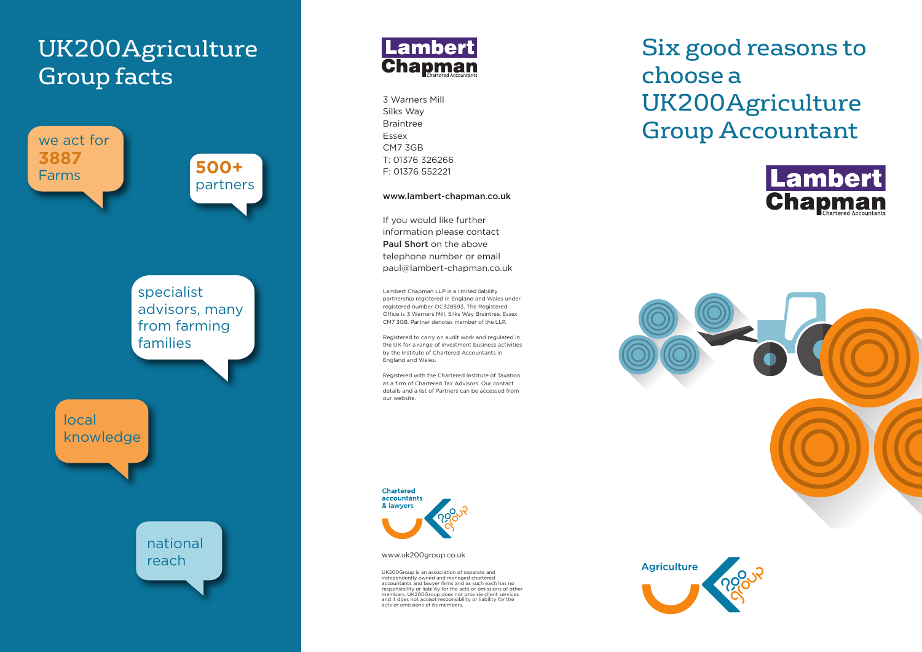# UK200Agriculture Group facts





3 Warners Mill Silks Way Braintree Essex CM7 3GB T: 01376 326266 F: 01376 552221

#### **www.lambert-chapman.co.uk**

If you would like further information please contact **Paul Short** on the above telephone number or email paul@lambert-chapman.co.uk

Lambert Chapman LLP is a limited liability partnership registered in England and Wales under registered number OC328593. The Registered Office is 3 Warners Mill, Silks Way Braintree, Essex CM7 3GB. Partner denotes member of the LLP.

Registered to carry on audit work and regulated in the UK for a range of investment business activities by the Institute of Chartered Accountants in England and Wales.

Registered with the Chartered Institute of Taxation as a firm of Chartered Tax Advisors. Our contact details and a list of Partners can be accessed from our website.



www.uk200group.co.uk

UK200Group is an association of separate and independently owned and managed chartered accountants and lawyer firms and as such each has no responsibility or liability for the acts or omissions of other members. UK200Group does not provide client services and it does not accept responsibility or liability for the acts or omissions of its members.

Six good reasons to choose a UK200Agriculture Group Accountant